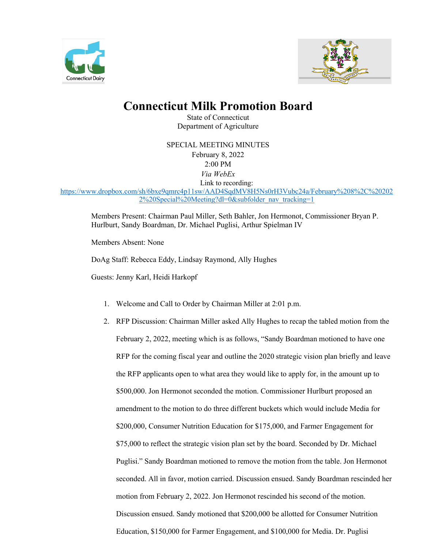



## **Connecticut Milk Promotion Board**

State of Connecticut Department of Agriculture

SPECIAL MEETING MINUTES February 8, 2022 2:00 PM *Via WebEx* Link to recording: [https://www.dropbox.com/sh/6bxe9qmrc4p11sw/AAD4SqdMV8H5Ns0rH3Vubc24a/February%208%2C%20202](https://www.dropbox.com/sh/6bxe9qmrc4p11sw/AAD4SqdMV8H5Ns0rH3Vubc24a/February%208%2C%202022%20Special%20Meeting?dl=0&subfolder_nav_tracking=1) [2%20Special%20Meeting?dl=0&subfolder\\_nav\\_tracking=1](https://www.dropbox.com/sh/6bxe9qmrc4p11sw/AAD4SqdMV8H5Ns0rH3Vubc24a/February%208%2C%202022%20Special%20Meeting?dl=0&subfolder_nav_tracking=1)

Members Present: Chairman Paul Miller, Seth Bahler, Jon Hermonot, Commissioner Bryan P. Hurlburt, Sandy Boardman, Dr. Michael Puglisi, Arthur Spielman IV

Members Absent: None

DoAg Staff: Rebecca Eddy, Lindsay Raymond, Ally Hughes

Guests: Jenny Karl, Heidi Harkopf

- 1. Welcome and Call to Order by Chairman Miller at 2:01 p.m.
- 2. RFP Discussion: Chairman Miller asked Ally Hughes to recap the tabled motion from the February 2, 2022, meeting which is as follows, "Sandy Boardman motioned to have one RFP for the coming fiscal year and outline the 2020 strategic vision plan briefly and leave the RFP applicants open to what area they would like to apply for, in the amount up to \$500,000. Jon Hermonot seconded the motion. Commissioner Hurlburt proposed an amendment to the motion to do three different buckets which would include Media for \$200,000, Consumer Nutrition Education for \$175,000, and Farmer Engagement for \$75,000 to reflect the strategic vision plan set by the board. Seconded by Dr. Michael Puglisi." Sandy Boardman motioned to remove the motion from the table. Jon Hermonot seconded. All in favor, motion carried. Discussion ensued. Sandy Boardman rescinded her motion from February 2, 2022. Jon Hermonot rescinded his second of the motion. Discussion ensued. Sandy motioned that \$200,000 be allotted for Consumer Nutrition Education, \$150,000 for Farmer Engagement, and \$100,000 for Media. Dr. Puglisi